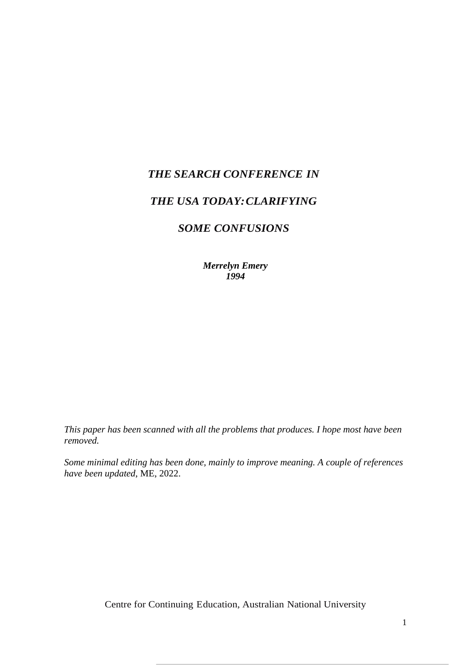# *THE SEARCH CONFERENCE IN*

# *THE USA TODAY:CLARIFYING*

# *SOME CONFUSIONS*

*Merrelyn Emery 1994*

*This paper has been scanned with all the problems that produces. I hope most have been removed.* 

*Some minimal editing has been done, mainly to improve meaning. A couple of references have been updated*, ME, 2022.

Centre for Continuing Education, Australian National University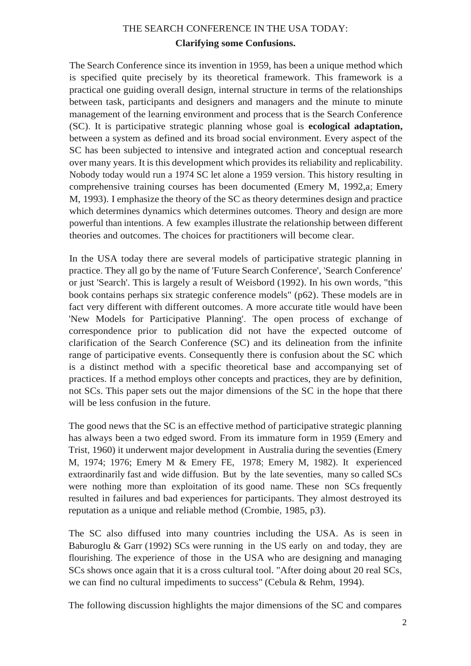# THE SEARCH CONFERENCE IN THE USA TODAY: **Clarifying some Confusions.**

The Search Conference since its invention in 1959, has been a unique method which is specified quite precisely by its theoretical framework. This framework is a practical one guiding overall design, internal structure in terms of the relationships between task, participants and designers and managers and the minute to minute management of the learning environment and process that is the Search Conference (SC). It is participative strategic planning whose goal is **ecological adaptation,**  between a system as defined and its broad social environment. Every aspect of the SC has been subjected to intensive and integrated action and conceptual research over many years. It is this development which provides its reliability and replicability. Nobody today would run a 1974 SC let alone a 1959 version. This history resulting in comprehensive training courses has been documented (Emery M, 1992,a; Emery M, 1993). I emphasize the theory of the SC as theory determines design and practice which determines dynamics which determines outcomes. Theory and design are more powerful than intentions. A few examples illustrate the relationship between different theories and outcomes. The choices for practitioners will become clear.

In the USA today there are several models of participative strategic planning in practice. They all go by the name of 'Future Search Conference', 'Search Conference' or just 'Search'. This is largely a result of Weisbord (1992). In his own words, "this book contains perhaps six strategic conference models" (p62). These models are in fact very different with different outcomes. A more accurate title would have been 'New Models for Participative Planning'. The open process of exchange of correspondence prior to publication did not have the expected outcome of clarification of the Search Conference (SC) and its delineation from the infinite range of participative events. Consequently there is confusion about the SC which is a distinct method with a specific theoretical base and accompanying set of practices. If a method employs other concepts and practices, they are by definition, not SCs. This paper sets out the major dimensions of the SC in the hope that there will be less confusion in the future.

The good news that the SC is an effective method of participative strategic planning has always been a two edged sword. From its immature form in 1959 (Emery and Trist, 1960) it underwent major development in Australia during the seventies (Emery M, 1974; 1976; Emery M & Emery FE, 1978; Emery M, 1982). It experienced extraordinarily fast and wide diffusion. But by the late seventies, many so called SCs were nothing more than exploitation of its good name. These non SCs frequently resulted in failures and bad experiences for participants. They almost destroyed its reputation as a unique and reliable method (Crombie, 1985, p3).

The SC also diffused into many countries including the USA. As is seen in Baburoglu & Garr (1992) SCs were running in the US early on and today, they are flourishing. The experience of those in the USA who are designing and managing SCs shows once again that it is a cross cultural tool. "After doing about 20 real SCs, we can find no cultural impediments to success" (Cebula & Rehm, 1994).

The following discussion highlights the major dimensions of the SC and compares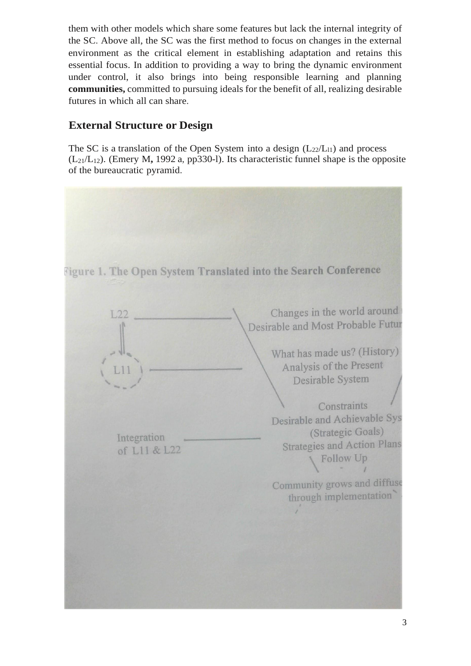them with other models which share some features but lack the internal integrity of the SC. Above all, the SC was the first method to focus on changes in the external environment as the critical element in establishing adaptation and retains this essential focus. In addition to providing a way to bring the dynamic environment under control, it also brings into being responsible learning and planning **communities,** committed to pursuing ideals for the benefit of all, realizing desirable futures in which all can share.

# **External Structure or Design**

The SC is a translation of the Open System into a design  $(L_{22}/L_{11})$  and process  $(L_{21}/L_{12})$ . (Emery M, 1992 a, pp330-1). Its characteristic funnel shape is the opposite of the bureaucratic pyramid.

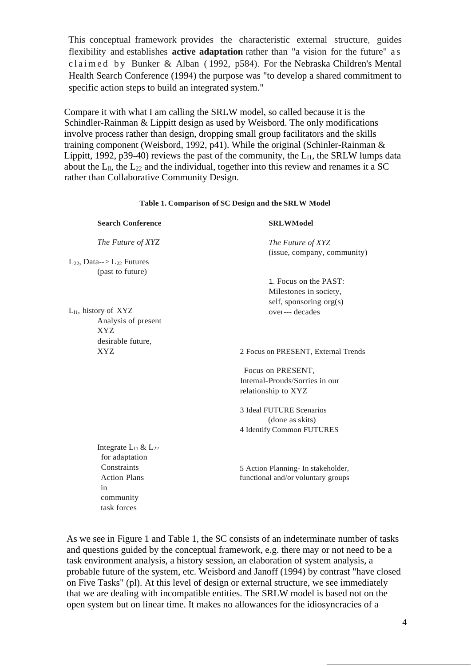This conceptual framework provides the characteristic external structure, guides flexibility and establishes **active adaptation** rather than "a vision for the future" a s c l a i m e d b y Bunker & Alban (1992, p584). For the Nebraska Children's Mental Health Search Conference (1994) the purpose was "to develop a shared commitment to specific action steps to build an integrated system."

Compare it with what I am calling the SRLW model, so called because it is the Schindler-Rainman & Lippitt design as used by Weisbord. The only modifications involve process rather than design, dropping small group facilitators and the skills training component (Weisbord, 1992, p41). While the original (Schinler-Rainman & Lippitt, 1992, p39-40) reviews the past of the community, the  $L_{11}$ , the SRLW lumps data about the  $L_{11}$ , the  $L_{22}$  and the individual, together into this review and renames it a SC rather than Collaborative Community Design.

**Table 1. Comparison of SC Design and the SRLW Model**

| <b>Search Conference</b>            | <b>SRLWModel</b>                    |
|-------------------------------------|-------------------------------------|
| The Future of XYZ                   | The Future of XYZ                   |
|                                     | (issue, company, community)         |
| $L_{22}$ , Data--> $L_{22}$ Futures |                                     |
| (past to future)                    |                                     |
|                                     | 1. Focus on the PAST:               |
|                                     | Milestones in society,              |
|                                     | self, sponsoring org(s)             |
| $L_{I1}$ , history of $XYZ$         | over--- decades                     |
| Analysis of present<br><b>XYZ</b>   |                                     |
| desirable future,                   |                                     |
| <b>XYZ</b>                          | 2 Focus on PRESENT, External Trends |
|                                     | Focus on PRESENT,                   |
|                                     | Intemal-Prouds/Sorries in our       |
|                                     | relationship to XYZ                 |
|                                     | 3 Ideal FUTURE Scenarios            |
|                                     | (done as skits)                     |
|                                     | 4 Identify Common FUTURES           |
| Integrate $L_{I1}$ & $L_{22}$       |                                     |
| for adaptation                      |                                     |
| Constraints                         | 5 Action Planning- In stakeholder,  |
| <b>Action Plans</b>                 | functional and/or voluntary groups  |
| in                                  |                                     |
| community                           |                                     |
| task forces                         |                                     |

As we see in Figure 1 and Table 1, the SC consists of an indeterminate number of tasks and questions guided by the conceptual framework, e.g. there may or not need to be a task environment analysis, a history session, an elaboration of system analysis, a probable future of the system, etc. Weisbord and Janoff (1994) by contrast "have closed on Five Tasks" (pl). At this level of design or external structure, we see immediately that we are dealing with incompatible entities. The SRLW model is based not on the open system but on linear time. It makes no allowances for the idiosyncracies of a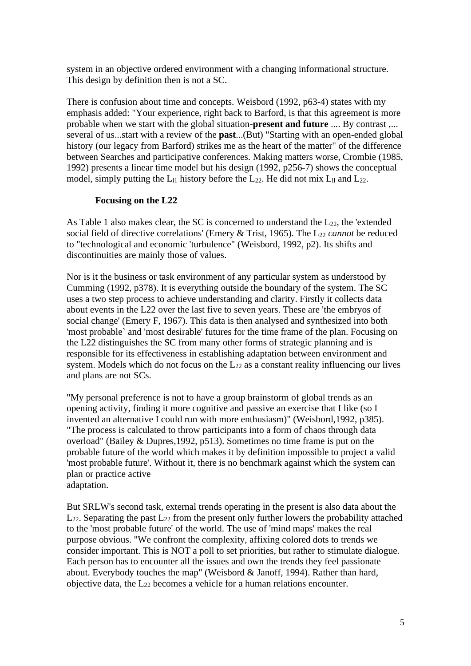system in an objective ordered environment with a changing informational structure. This design by definition then is not a SC.

There is confusion about time and concepts. Weisbord (1992, p63-4) states with my emphasis added: "Your experience, right back to Barford, is that this agreement is more probable when we start with the global situation-**present and future** .... By contrast ,... several of us...start with a review of the **past**...(But) "Starting with an open-ended global history (our legacy from Barford) strikes me as the heart of the matter" of the difference between Searches and participative conferences. Making matters worse, Crombie (1985, 1992) presents a linear time model but his design (1992, p256-7) shows the conceptual model, simply putting the  $L_{11}$  history before the  $L_{22}$ . He did not mix  $L_{11}$  and  $L_{22}$ .

#### **Focusing on the L22**

As Table 1 also makes clear, the SC is concerned to understand the  $L_{22}$ , the 'extended social field of directive correlations' (Emery & Trist, 1965). The L<sub>22</sub> *cannot* be reduced to "technological and economic 'turbulence" (Weisbord, 1992, p2). Its shifts and discontinuities are mainly those of values.

Nor is it the business or task environment of any particular system as understood by Cumming (1992, p378). It is everything outside the boundary of the system. The SC uses a two step process to achieve understanding and clarity. Firstly it collects data about events in the L22 over the last five to seven years. These are 'the embryos of social change' (Emery F, 1967). This data is then analysed and synthesized into both 'most probable` and 'most desirable' futures for the time frame of the plan. Focusing on the L22 distinguishes the SC from many other forms of strategic planning and is responsible for its effectiveness in establishing adaptation between environment and system. Models which do not focus on the  $L_{22}$  as a constant reality influencing our lives and plans are not SCs.

"My personal preference is not to have a group brainstorm of global trends as an opening activity, finding it more cognitive and passive an exercise that I like (so I invented an alternative I could run with more enthusiasm)" (Weisbord,1992, p385). "The process is calculated to throw participants into a form of chaos through data overload" (Bailey & Dupres,1992, p513). Sometimes no time frame is put on the probable future of the world which makes it by definition impossible to project a valid 'most probable future'. Without it, there is no benchmark against which the system can plan or practice active adaptation.

But SRLW's second task, external trends operating in the present is also data about the  $L_{22}$ . Separating the past  $L_{22}$  from the present only further lowers the probability attached to the 'most probable future' of the world. The use of 'mind maps' makes the real purpose obvious. "We confront the complexity, affixing colored dots to trends we consider important. This is NOT a poll to set priorities, but rather to stimulate dialogue. Each person has to encounter all the issues and own the trends they feel passionate about. Everybody touches the map" (Weisbord & Janoff, 1994). Rather than hard, objective data, the  $L_{22}$  becomes a vehicle for a human relations encounter.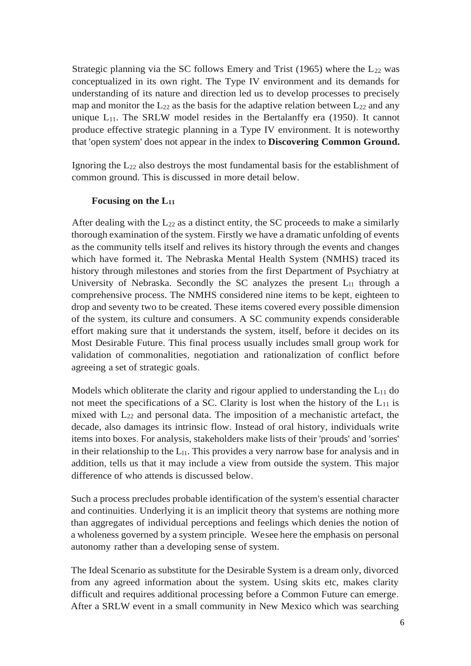Strategic planning via the SC follows Emery and Trist (1965) where the  $L_{22}$  was conceptualized in its own right. The Type IV environment and its demands for understanding of its nature and direction led us to develop processes to precisely map and monitor the  $L_{22}$  as the basis for the adaptive relation between  $L_{22}$  and any unique  $L_{11}$ . The SRLW model resides in the Bertalanffy era (1950). It cannot produce effective strategic planning in a Type IV environment. It is noteworthy that 'open system' does not appear in the index to **Discovering Common Ground.**

Ignoring the  $L_{22}$  also destroys the most fundamental basis for the establishment of common ground. This is discussed in more detail below.

### **Focusing on the L<sup>11</sup>**

After dealing with the  $L_{22}$  as a distinct entity, the SC proceeds to make a similarly thorough examination of the system. Firstly we have a dramatic unfolding of events as the community tells itself and relives its history through the events and changes which have formed it. The Nebraska Mental Health System (NMHS) traced its history through milestones and stories from the first Department of Psychiatry at University of Nebraska. Secondly the SC analyzes the present  $L_{11}$  through a comprehensive process. The NMHS considered nine items to be kept, eighteen to drop and seventy two to be created. These items covered every possible dimension of the system, its culture and consumers. A SC community expends considerable effort making sure that it understands the system, itself, before it decides on its Most Desirable Future. This final process usually includes small group work for validation of commonalities, negotiation and rationalization of conflict before agreeing a set of strategic goals.

Models which obliterate the clarity and rigour applied to understanding the  $L_{11}$  do not meet the specifications of a SC. Clarity is lost when the history of the  $L_{11}$  is mixed with  $L_{22}$  and personal data. The imposition of a mechanistic artefact, the decade, also damages its intrinsic flow. Instead of oral history, individuals write items into boxes. For analysis, stakeholders make lists of their 'prouds' and 'sorries' in their relationship to the  $L_{11}$ . This provides a very narrow base for analysis and in addition, tells us that it may include a view from outside the system. This major difference of who attends is discussed below.

Such a process precludes probable identification of the system's essential character and continuities. Underlying it is an implicit theory that systems are nothing more than aggregates of individual perceptions and feelings which denies the notion of a wholeness governed by a system principle. Wesee here the emphasis on personal autonomy rather than a developing sense of system.

The Ideal Scenario as substitute for the Desirable System is a dream only, divorced from any agreed information about the system. Using skits etc, makes clarity difficult and requires additional processing before a Common Future can emerge. After a SRLW event in a small community in New Mexico which was searching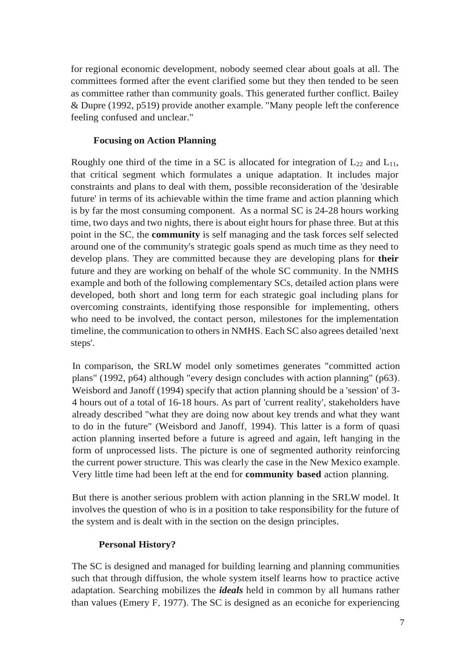for regional economic development, nobody seemed clear about goals at all. The committees formed after the event clarified some but they then tended to be seen as committee rather than community goals. This generated further conflict. Bailey & Dupre (1992, p519) provide another example. "Many people left the conference feeling confused and unclear."

#### **Focusing on Action Planning**

Roughly one third of the time in a SC is allocated for integration of  $L_{22}$  and  $L_{11}$ , that critical segment which formulates a unique adaptation. It includes major constraints and plans to deal with them, possible reconsideration of the 'desirable future' in terms of its achievable within the time frame and action planning which is by far the most consuming component. As a normal SC is 24-28 hours working time, two days and two nights, there is about eight hours for phase three. But at this point in the SC, the **community** is self managing and the task forces self selected around one of the community's strategic goals spend as much time as they need to develop plans. They are committed because they are developing plans for **their**  future and they are working on behalf of the whole SC community. In the NMHS example and both of the following complementary SCs, detailed action plans were developed, both short and long term for each strategic goal including plans for overcoming constraints, identifying those responsible for implementing, others who need to be involved, the contact person, milestones for the implementation timeline, the communication to others in NMHS. Each SC also agrees detailed 'next steps'.

In comparison, the SRLW model only sometimes generates "committed action plans" (1992, p64) although "every design concludes with action planning" (p63). Weisbord and Janoff (1994) specify that action planning should be a 'session' of 3- 4 hours out of a total of 16-18 hours. As part of 'current reality', stakeholders have already described "what they are doing now about key trends and what they want to do in the future" (Weisbord and Janoff, 1994). This latter is a form of quasi action planning inserted before a future is agreed and again, left hanging in the form of unprocessed lists. The picture is one of segmented authority reinforcing the current power structure. This was clearly the case in the New Mexico example. Very little time had been left at the end for **community based** action planning.

But there is another serious problem with action planning in the SRLW model. It involves the question of who is in a position to take responsibility for the future of the system and is dealt with in the section on the design principles.

#### **Personal History?**

The SC is designed and managed for building learning and planning communities such that through diffusion, the whole system itself learns how to practice active adaptation. Searching mobilizes the *ideals* held in common by all humans rather than values (Emery F, 1977). The SC is designed as an econiche for experiencing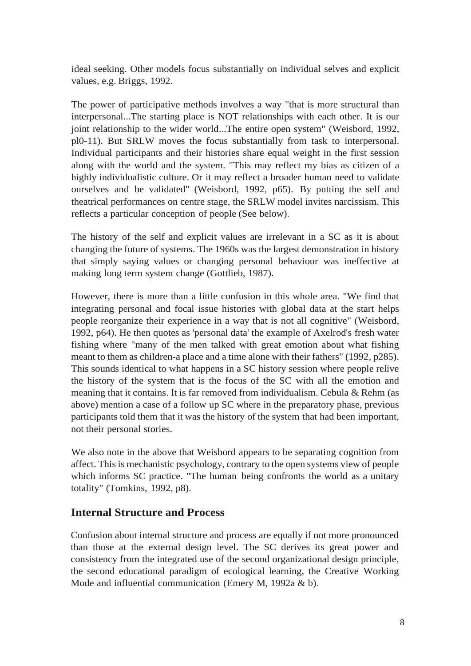ideal seeking. Other models focus substantially on individual selves and explicit values, e.g. Briggs, 1992.

The power of participative methods involves a way "that is more structural than interpersonal...The starting place is NOT relationships with each other. It is our joint relationship to the wider world...The entire open system" (Weisbord, 1992, pl0-11). But SRLW moves the focus substantially from task to interpersonal. Individual participants and their histories share equal weight in the first session along with the world and the system. "This may reflect my bias as citizen of a highly individualistic culture. Or it may reflect a broader human need to validate ourselves and be validated" (Weisbord, 1992, p65). By putting the self and theatrical performances on centre stage, the SRLW model invites narcissism. This reflects a particular conception of people (See below).

The history of the self and explicit values are irrelevant in a SC as it is about changing the future of systems. The 1960s was the largest demonstration in history that simply saying values or changing personal behaviour was ineffective at making long term system change (Gottlieb, 1987).

However, there is more than a little confusion in this whole area. "We find that integrating personal and focal issue histories with global data at the start helps people reorganize their experience in a way that is not all cognitive" (Weisbord, 1992, p64). He then quotes as 'personal data' the example of Axelrod's fresh water fishing where "many of the men talked with great emotion about what fishing meant to them as children-a place and a time alone with their fathers" (1992, p285). This sounds identical to what happens in a SC history session where people relive the history of the system that is the focus of the SC with all the emotion and meaning that it contains. It is far removed from individualism. Cebula  $\&$  Rehm (as above) mention a case of a follow up SC where in the preparatory phase, previous participants told them that it was the history of the system that had been important, not their personal stories.

We also note in the above that Weisbord appears to be separating cognition from affect. This is mechanistic psychology, contrary to the open systems view of people which informs SC practice. "The human being confronts the world as a unitary totality" (Tomkins, 1992, p8).

# **Internal Structure and Process**

Confusion about internal structure and process are equally if not more pronounced than those at the external design level. The SC derives its great power and consistency from the integrated use of the second organizational design principle, the second educational paradigm of ecological learning, the Creative Working Mode and influential communication (Emery M, 1992a & b).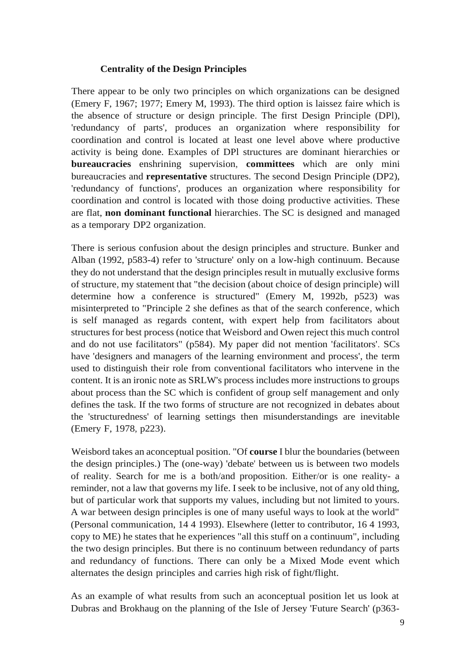### **Centrality of the Design Principles**

There appear to be only two principles on which organizations can be designed (Emery F, 1967; 1977; Emery M, 1993). The third option is laissez faire which is the absence of structure or design principle. The first Design Principle (DPl), 'redundancy of parts', produces an organization where responsibility for coordination and control is located at least one level above where productive activity is being done. Examples of DPl structures are dominant hierarchies or **bureaucracies** enshrining supervision, **committees** which are only mini bureaucracies and **representative** structures. The second Design Principle (DP2), 'redundancy of functions', produces an organization where responsibility for coordination and control is located with those doing productive activities. These are flat, **non dominant functional** hierarchies. The SC is designed and managed as a temporary DP2 organization.

There is serious confusion about the design principles and structure. Bunker and Alban (1992, p583-4) refer to 'structure' only on a low-high continuum. Because they do not understand that the design principles result in mutually exclusive forms of structure, my statement that "the decision (about choice of design principle) will determine how a conference is structured" (Emery M, 1992b, p523) was misinterpreted to "Principle 2 she defines as that of the search conference, which is self managed as regards content, with expert help from facilitators about structures for best process (notice that Weisbord and Owen reject this much control and do not use facilitators" (p584). My paper did not mention 'facilitators'. SCs have 'designers and managers of the learning environment and process', the term used to distinguish their role from conventional facilitators who intervene in the content. It is an ironic note as SRLW's process includes more instructions to groups about process than the SC which is confident of group self management and only defines the task. If the two forms of structure are not recognized in debates about the 'structuredness' of learning settings then misunderstandings are inevitable (Emery F, 1978, p223).

Weisbord takes an aconceptual position. "Of **course** I blur the boundaries (between the design principles.) The (one-way) 'debate' between us is between two models of reality. Search for me is a both/and proposition. Either/or is one reality- a reminder, not a law that governs my life. I seek to be inclusive, not of any old thing, but of particular work that supports my values, including but not limited to yours. A war between design principles is one of many useful ways to look at the world" (Personal communication, 14 4 1993). Elsewhere (letter to contributor, 16 4 1993, copy to ME) he states that he experiences "all this stuff on a continuum", including the two design principles. But there is no continuum between redundancy of parts and redundancy of functions. There can only be a Mixed Mode event which alternates the design principles and carries high risk of fight/flight.

As an example of what results from such an aconceptual position let us look at Dubras and Brokhaug on the planning of the Isle of Jersey 'Future Search' (p363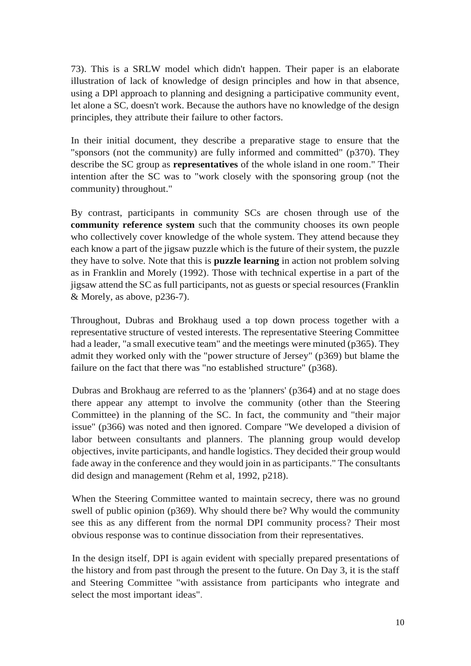73). This is a SRLW model which didn't happen. Their paper is an elaborate illustration of lack of knowledge of design principles and how in that absence, using a DPl approach to planning and designing a participative community event, let alone a SC, doesn't work. Because the authors have no knowledge of the design principles, they attribute their failure to other factors.

In their initial document, they describe a preparative stage to ensure that the "sponsors (not the community) are fully informed and committed" (p370). They describe the SC group as **representatives** of the whole island in one room." Their intention after the SC was to "work closely with the sponsoring group (not the community) throughout."

By contrast, participants in community SCs are chosen through use of the **community reference system** such that the community chooses its own people who collectively cover knowledge of the whole system. They attend because they each know a part of the jigsaw puzzle which is the future of their system, the puzzle they have to solve. Note that this is **puzzle learning** in action not problem solving as in Franklin and Morely (1992). Those with technical expertise in a part of the jigsaw attend the SC as full participants, not as guests or special resources (Franklin & Morely, as above, p236-7).

Throughout, Dubras and Brokhaug used a top down process together with a representative structure of vested interests. The representative Steering Committee had a leader, "a small executive team" and the meetings were minuted (p365). They admit they worked only with the "power structure of Jersey" (p369) but blame the failure on the fact that there was "no established structure" (p368).

Dubras and Brokhaug are referred to as the 'planners' (p364) and at no stage does there appear any attempt to involve the community (other than the Steering Committee) in the planning of the SC. In fact, the community and "their major issue" (p366) was noted and then ignored. Compare "We developed a division of labor between consultants and planners. The planning group would develop objectives, invite participants, and handle logistics. They decided their group would fade away in the conference and they would join in as participants." The consultants did design and management (Rehm et al, 1992, p218).

When the Steering Committee wanted to maintain secrecy, there was no ground swell of public opinion (p369). Why should there be? Why would the community see this as any different from the normal DPI community process? Their most obvious response was to continue dissociation from their representatives.

In the design itself, DPI is again evident with specially prepared presentations of the history and from past through the present to the future. On Day 3, it is the staff and Steering Committee "with assistance from participants who integrate and select the most important ideas".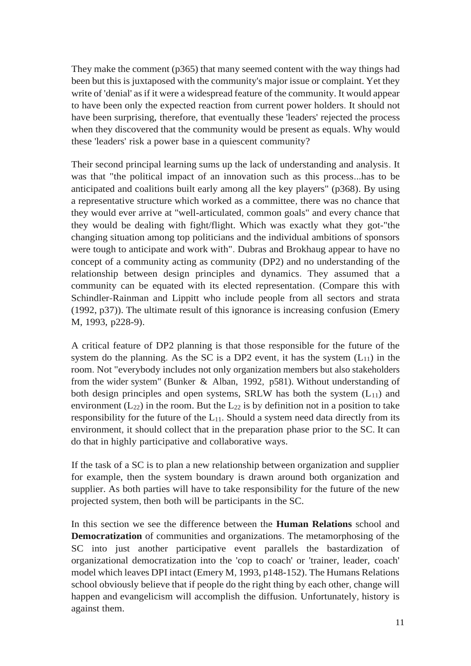They make the comment (p365) that many seemed content with the way things had been but this is juxtaposed with the community's major issue or complaint. Yet they write of 'denial' as if it were a widespread feature of the community. It would appear to have been only the expected reaction from current power holders. It should not have been surprising, therefore, that eventually these 'leaders' rejected the process when they discovered that the community would be present as equals. Why would these 'leaders' risk a power base in a quiescent community?

Their second principal learning sums up the lack of understanding and analysis. It was that "the political impact of an innovation such as this process...has to be anticipated and coalitions built early among all the key players" (p368). By using a representative structure which worked as a committee, there was no chance that they would ever arrive at "well-articulated, common goals" and every chance that they would be dealing with fight/flight. Which was exactly what they got-"the changing situation among top politicians and the individual ambitions of sponsors were tough to anticipate and work with". Dubras and Brokhaug appear to have no concept of a community acting as community (DP2) and no understanding of the relationship between design principles and dynamics. They assumed that a community can be equated with its elected representation. (Compare this with Schindler-Rainman and Lippitt who include people from all sectors and strata (1992, p37)). The ultimate result of this ignorance is increasing confusion (Emery M, 1993, p228-9).

A critical feature of DP2 planning is that those responsible for the future of the system do the planning. As the SC is a DP2 event, it has the system  $(L_{11})$  in the room. Not "everybody includes not only organization members but also stakeholders from the wider system" (Bunker & Alban, 1992, p581). Without understanding of both design principles and open systems, SRLW has both the system  $(L_{11})$  and environment  $(L_{22})$  in the room. But the  $L_{22}$  is by definition not in a position to take responsibility for the future of the  $L_{11}$ . Should a system need data directly from its environment, it should collect that in the preparation phase prior to the SC. It can do that in highly participative and collaborative ways.

If the task of a SC is to plan a new relationship between organization and supplier for example, then the system boundary is drawn around both organization and supplier. As both parties will have to take responsibility for the future of the new projected system, then both will be participants in the SC.

In this section we see the difference between the **Human Relations** school and **Democratization** of communities and organizations. The metamorphosing of the SC into just another participative event parallels the bastardization of organizational democratization into the 'cop to coach' or 'trainer, leader, coach' model which leaves DPI intact (Emery M, 1993, p148-152). The Humans Relations school obviously believe that if people do the right thing by each other, change will happen and evangelicism will accomplish the diffusion. Unfortunately, history is against them.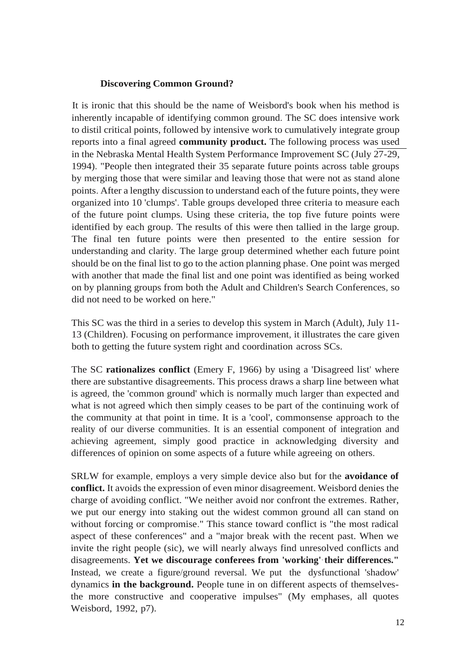#### **Discovering Common Ground?**

It is ironic that this should be the name of Weisbord's book when his method is inherently incapable of identifying common ground. The SC does intensive work to distil critical points, followed by intensive work to cumulatively integrate group reports into a final agreed **community product.** The following process was used in the Nebraska Mental Health System Performance Improvement SC (July 27-29, 1994). "People then integrated their 35 separate future points across table groups by merging those that were similar and leaving those that were not as stand alone points. After a lengthy discussion to understand each of the future points, they were organized into 10 'clumps'. Table groups developed three criteria to measure each of the future point clumps. Using these criteria, the top five future points were identified by each group. The results of this were then tallied in the large group. The final ten future points were then presented to the entire session for understanding and clarity. The large group determined whether each future point should be on the final list to go to the action planning phase. One point was merged with another that made the final list and one point was identified as being worked on by planning groups from both the Adult and Children's Search Conferences, so did not need to be worked on here."

This SC was the third in a series to develop this system in March (Adult), July 11- 13 (Children). Focusing on performance improvement, it illustrates the care given both to getting the future system right and coordination across SCs.

The SC **rationalizes conflict** (Emery F, 1966) by using a 'Disagreed list' where there are substantive disagreements. This process draws a sharp line between what is agreed, the 'common ground' which is normally much larger than expected and what is not agreed which then simply ceases to be part of the continuing work of the community at that point in time. It is a 'cool', commonsense approach to the reality of our diverse communities. It is an essential component of integration and achieving agreement, simply good practice in acknowledging diversity and differences of opinion on some aspects of a future while agreeing on others.

SRLW for example, employs a very simple device also but for the **avoidance of conflict.** It avoids the expression of even minor disagreement. Weisbord denies the charge of avoiding conflict. "We neither avoid nor confront the extremes. Rather, we put our energy into staking out the widest common ground all can stand on without forcing or compromise." This stance toward conflict is "the most radical aspect of these conferences" and a "major break with the recent past. When we invite the right people (sic), we will nearly always find unresolved conflicts and disagreements. **Yet we discourage conferees from 'working'·their differences."** Instead, we create a figure/ground reversal. We put the dysfunctional 'shadow' dynamics **in the background.** People tune in on different aspects of themselvesthe more constructive and cooperative impulses" (My emphases, all quotes Weisbord, 1992, p7).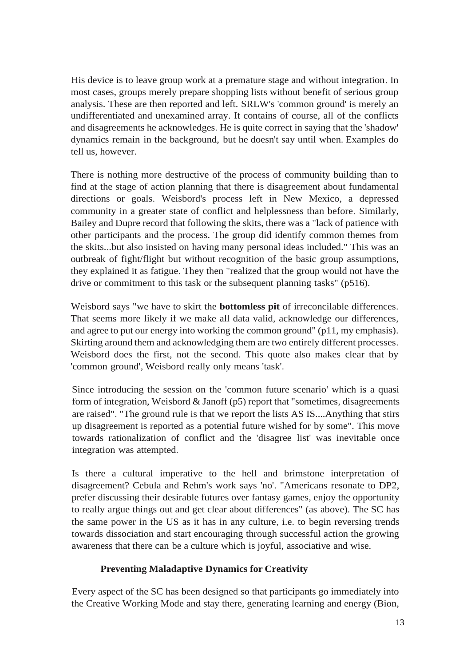His device is to leave group work at a premature stage and without integration. In most cases, groups merely prepare shopping lists without benefit of serious group analysis. These are then reported and left. SRLW's 'common ground' is merely an undifferentiated and unexamined array. It contains of course, all of the conflicts and disagreements he acknowledges. He is quite correct in saying that the 'shadow' dynamics remain in the background, but he doesn't say until when. Examples do tell us, however.

There is nothing more destructive of the process of community building than to find at the stage of action planning that there is disagreement about fundamental directions or goals. Weisbord's process left in New Mexico, a depressed community in a greater state of conflict and helplessness than before. Similarly, Bailey and Dupre record that following the skits, there was a "lack of patience with other participants and the process. The group did identify common themes from the skits...but also insisted on having many personal ideas included." This was an outbreak of fight/flight but without recognition of the basic group assumptions, they explained it as fatigue. They then "realized that the group would not have the drive or commitment to this task or the subsequent planning tasks" (p516).

Weisbord says "we have to skirt the **bottomless pit** of irreconcilable differences. That seems more likely if we make all data valid, acknowledge our differences, and agree to put our energy into working the common ground" (p11, my emphasis). Skirting around them and acknowledging them are two entirely different processes. Weisbord does the first, not the second. This quote also makes clear that by 'common ground', Weisbord really only means 'task'.

Since introducing the session on the 'common future scenario' which is a quasi form of integration, Weisbord & Janoff (p5) report that "sometimes, disagreements are raised". "The ground rule is that we report the lists AS IS....Anything that stirs up disagreement is reported as a potential future wished for by some". This move towards rationalization of conflict and the 'disagree list' was inevitable once integration was attempted.

Is there a cultural imperative to the hell and brimstone interpretation of disagreement? Cebula and Rehm's work says 'no'. "Americans resonate to DP2, prefer discussing their desirable futures over fantasy games, enjoy the opportunity to really argue things out and get clear about differences" (as above). The SC has the same power in the US as it has in any culture, i.e. to begin reversing trends towards dissociation and start encouraging through successful action the growing awareness that there can be a culture which is joyful, associative and wise.

# **Preventing Maladaptive Dynamics for Creativity**

Every aspect of the SC has been designed so that participants go immediately into the Creative Working Mode and stay there, generating learning and energy (Bion,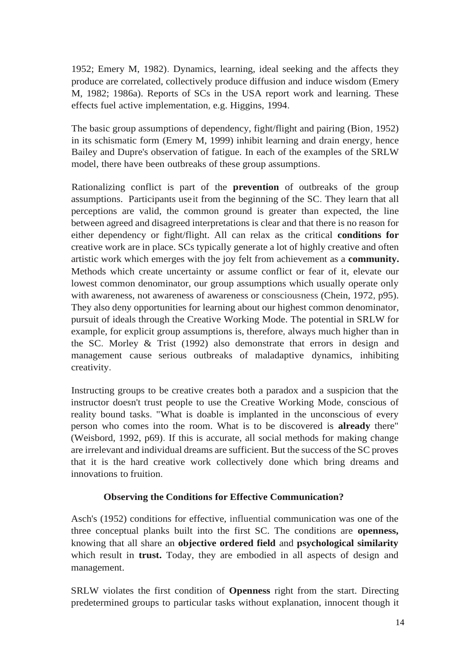1952; Emery M, 1982). Dynamics, learning, ideal seeking and the affects they produce are correlated, collectively produce diffusion and induce wisdom (Emery M, 1982; 1986a). Reports of SCs in the USA report work and learning. These effects fuel active implementation, e.g. Higgins, 1994.

The basic group assumptions of dependency, fight/flight and pairing (Bion, 1952) in its schismatic form (Emery M, 1999) inhibit learning and drain energy, hence Bailey and Dupre's observation of fatigue. In each of the examples of the SRLW model, there have been outbreaks of these group assumptions.

Rationalizing conflict is part of the **prevention** of outbreaks of the group assumptions. Participants useit from the beginning of the SC. They learn that all perceptions are valid, the common ground is greater than expected, the line between agreed and disagreed interpretations is clear and that there is no reason for either dependency or fight/flight. All can relax as the critical **conditions for**  creative work are in place. SCs typically generate a lot of highly creative and often artistic work which emerges with the joy felt from achievement as a **community.**  Methods which create uncertainty or assume conflict or fear of it, elevate our lowest common denominator, our group assumptions which usually operate only with awareness, not awareness of awareness or consciousness (Chein, 1972, p95). They also deny opportunities for learning about our highest common denominator, pursuit of ideals through the Creative Working Mode. The potential in SRLW for example, for explicit group assumptions is, therefore, always much higher than in the SC. Morley & Trist (1992) also demonstrate that errors in design and management cause serious outbreaks of maladaptive dynamics, inhibiting creativity.

Instructing groups to be creative creates both a paradox and a suspicion that the instructor doesn't trust people to use the Creative Working Mode, conscious of reality bound tasks. "What is doable is implanted in the unconscious of every person who comes into the room. What is to be discovered is **already** there" (Weisbord, 1992, p69). If this is accurate, all social methods for making change are irrelevant and individual dreams are sufficient. But the success of the SC proves that it is the hard creative work collectively done which bring dreams and innovations to fruition.

# **Observing the Conditions for Effective Communication?**

Asch's (1952) conditions for effective, influential communication was one of the three conceptual planks built into the first SC. The conditions are **openness,**  knowing that all share an **objective ordered field** and **psychological similarity**  which result in **trust.** Today, they are embodied in all aspects of design and management.

SRLW violates the first condition of **Openness** right from the start. Directing predetermined groups to particular tasks without explanation, innocent though it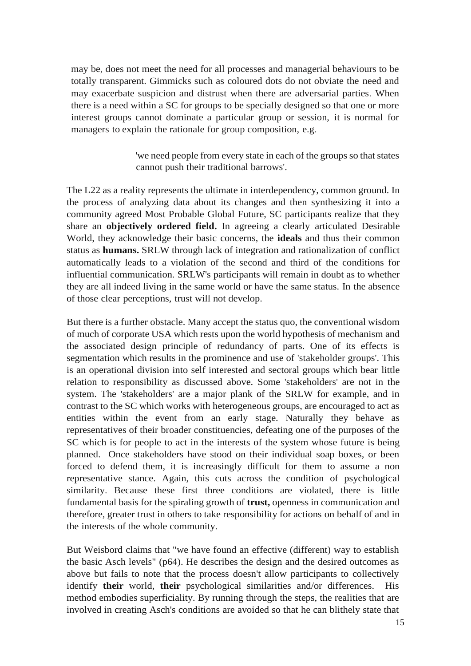may be, does not meet the need for all processes and managerial behaviours to be totally transparent. Gimmicks such as coloured dots do not obviate the need and may exacerbate suspicion and distrust when there are adversarial parties. When there is a need within a SC for groups to be specially designed so that one or more interest groups cannot dominate a particular group or session, it is normal for managers to explain the rationale for group composition, e.g.

> 'we need people from every state in each of the groups so that states cannot push their traditional barrows'.

The L22 as a reality represents the ultimate in interdependency, common ground. In the process of analyzing data about its changes and then synthesizing it into a community agreed Most Probable Global Future, SC participants realize that they share an **objectively ordered field.** In agreeing a clearly articulated Desirable World, they acknowledge their basic concerns, the **ideals** and thus their common status as **humans.** SRLW through lack of integration and rationalization of conflict automatically leads to a violation of the second and third of the conditions for influential communication. SRLW's participants will remain in doubt as to whether they are all indeed living in the same world or have the same status. In the absence of those clear perceptions, trust will not develop.

But there is a further obstacle. Many accept the status quo, the conventional wisdom of much of corporate USA which rests upon the world hypothesis of mechanism and the associated design principle of redundancy of parts. One of its effects is segmentation which results in the prominence and use of 'stakeholder groups'. This is an operational division into self interested and sectoral groups which bear little relation to responsibility as discussed above. Some 'stakeholders' are not in the system. The 'stakeholders' are a major plank of the SRLW for example, and in contrast to the SC which works with heterogeneous groups, are encouraged to act as entities within the event from an early stage. Naturally they behave as representatives of their broader constituencies, defeating one of the purposes of the SC which is for people to act in the interests of the system whose future is being planned. Once stakeholders have stood on their individual soap boxes, or been forced to defend them, it is increasingly difficult for them to assume a non representative stance. Again, this cuts across the condition of psychological similarity. Because these first three conditions are violated, there is little fundamental basis for the spiraling growth of **trust,** openness in communication and therefore, greater trust in others to take responsibility for actions on behalf of and in the interests of the whole community.

But Weisbord claims that "we have found an effective (different) way to establish the basic Asch levels" (p64). He describes the design and the desired outcomes as above but fails to note that the process doesn't allow participants to collectively identify **their** world, **their** psychological similarities and/or differences. His method embodies superficiality. By running through the steps, the realities that are involved in creating Asch's conditions are avoided so that he can blithely state that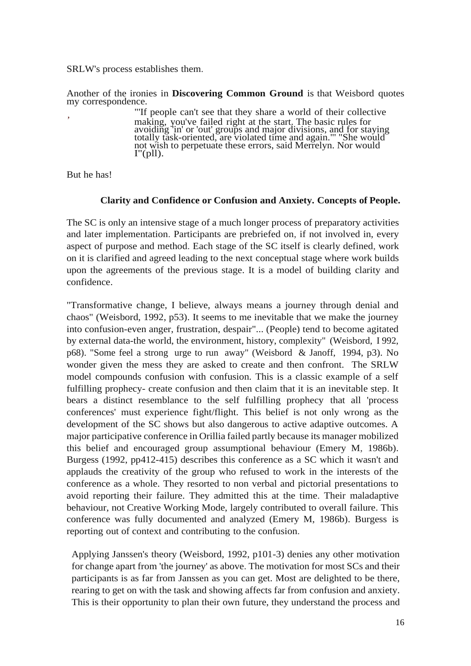SRLW's process establishes them.

Another of the ironies in **Discovering Common Ground** is that Weisbord quotes my correspondence.

> "'If people can't see that they share a world of their collective making, you've failed right at the start. The basic rules for avoiding 'in' or 'out' groups and major divisions, and for staying totally task-oriented, are violated time and again."' "She would not wish to perpetuate these errors, said Merrelyn. Nor would  $I''(pll)$ .

But he has!

,

#### **Clarity and Confidence or Confusion and Anxiety. Concepts of People.**

The SC is only an intensive stage of a much longer process of preparatory activities and later implementation. Participants are prebriefed on, if not involved in, every aspect of purpose and method. Each stage of the SC itself is clearly defined, work on it is clarified and agreed leading to the next conceptual stage where work builds upon the agreements of the previous stage. It is a model of building clarity and confidence.

"Transformative change, I believe, always means a journey through denial and chaos" (Weisbord, 1992, p53). It seems to me inevitable that we make the journey into confusion-even anger, frustration, despair"... (People) tend to become agitated by external data-the world, the environment, history, complexity" (Weisbord, I 992, p68). "Some feel a strong urge to run away" (Weisbord & Janoff, 1994, p3). No wonder given the mess they are asked to create and then confront. The SRLW model compounds confusion with confusion. This is a classic example of a self fulfilling prophecy- create confusion and then claim that it is an inevitable step. It bears a distinct resemblance to the self fulfilling prophecy that all 'process conferences' must experience fight/flight. This belief is not only wrong as the development of the SC shows but also dangerous to active adaptive outcomes. A major participative conference in Orillia failed partly because its manager mobilized this belief and encouraged group assumptional behaviour (Emery M, 1986b). Burgess (1992, pp412-415) describes this conference as a SC which it wasn't and applauds the creativity of the group who refused to work in the interests of the conference as a whole. They resorted to non verbal and pictorial presentations to avoid reporting their failure. They admitted this at the time. Their maladaptive behaviour, not Creative Working Mode, largely contributed to overall failure. This conference was fully documented and analyzed (Emery M, 1986b). Burgess is reporting out of context and contributing to the confusion.

Applying Janssen's theory (Weisbord, 1992, p101-3) denies any other motivation for change apart from 'the journey' as above. The motivation for most SCs and their participants is as far from Janssen as you can get. Most are delighted to be there, rearing to get on with the task and showing affects far from confusion and anxiety. This is their opportunity to plan their own future, they understand the process and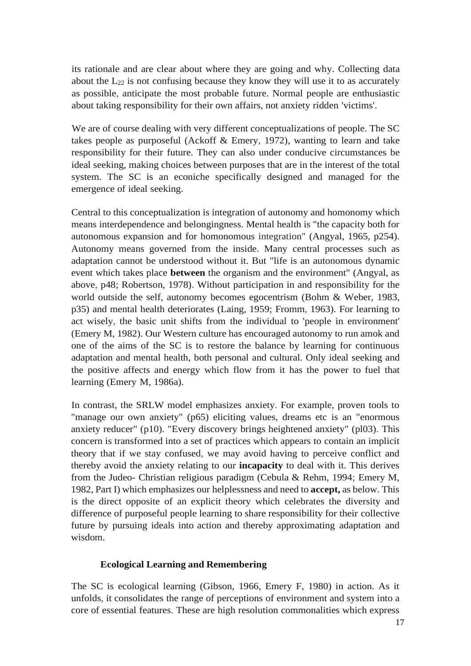its rationale and are clear about where they are going and why. Collecting data about the  $L_{22}$  is not confusing because they know they will use it to as accurately as possible, anticipate the most probable future. Normal people are enthusiastic about taking responsibility for their own affairs, not anxiety ridden 'victims'.

We are of course dealing with very different conceptualizations of people. The SC takes people as purposeful (Ackoff & Emery, 1972), wanting to learn and take responsibility for their future. They can also under conducive circumstances be ideal seeking, making choices between purposes that are in the interest of the total system. The SC is an econiche specifically designed and managed for the emergence of ideal seeking.

Central to this conceptualization is integration of autonomy and homonomy which means interdependence and belongingness. Mental health is "the capacity both for autonomous expansion and for homonomous integration" (Angyal, 1965, p254). Autonomy means governed from the inside. Many central processes such as adaptation cannot be understood without it. But "life is an autonomous dynamic event which takes place **between** the organism and the environment" (Angyal, as above, p48; Robertson, 1978). Without participation in and responsibility for the world outside the self, autonomy becomes egocentrism (Bohm & Weber, 1983, p35) and mental health deteriorates (Laing, 1959; Fromm, 1963). For learning to act wisely, the basic unit shifts from the individual to 'people in environment' (Emery M, 1982). Our Western culture has encouraged autonomy to run amok and one of the aims of the SC is to restore the balance by learning for continuous adaptation and mental health, both personal and cultural. Only ideal seeking and the positive affects and energy which flow from it has the power to fuel that learning (Emery M, 1986a).

In contrast, the SRLW model emphasizes anxiety. For example, proven tools to "manage our own anxiety" (p65) eliciting values, dreams etc is an "enormous anxiety reducer" (p10). "Every discovery brings heightened anxiety" (pl03). This concern is transformed into a set of practices which appears to contain an implicit theory that if we stay confused, we may avoid having to perceive conflict and thereby avoid the anxiety relating to our **incapacity** to deal with it. This derives from the Judeo- Christian religious paradigm (Cebula & Rehm, 1994; Emery M, 1982, Part I) which emphasizes our helplessness and need to **accept,** as below. This is the direct opposite of an explicit theory which celebrates the diversity and difference of purposeful people learning to share responsibility for their collective future by pursuing ideals into action and thereby approximating adaptation and wisdom.

#### **Ecological Learning and Remembering**

The SC is ecological learning (Gibson, 1966, Emery F, 1980) in action. As it unfolds, it consolidates the range of perceptions of environment and system into a core of essential features. These are high resolution commonalities which express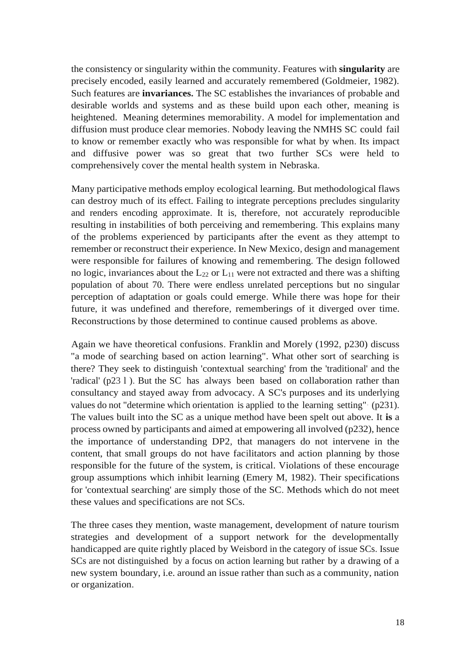the consistency or singularity within the community. Features with **singularity** are precisely encoded, easily learned and accurately remembered (Goldmeier, 1982). Such features are **invariances.** The SC establishes the invariances of probable and desirable worlds and systems and as these build upon each other, meaning is heightened. Meaning determines memorability. A model for implementation and diffusion must produce clear memories. Nobody leaving the NMHS SC could fail to know or remember exactly who was responsible for what by when. Its impact and diffusive power was so great that two further SCs were held to comprehensively cover the mental health system in Nebraska.

Many participative methods employ ecological learning. But methodological flaws can destroy much of its effect. Failing to integrate perceptions precludes singularity and renders encoding approximate. It is, therefore, not accurately reproducible resulting in instabilities of both perceiving and remembering. This explains many of the problems experienced by participants after the event as they attempt to remember or reconstruct their experience. In New Mexico, design and management were responsible for failures of knowing and remembering. The design followed no logic, invariances about the  $L_{22}$  or  $L_{11}$  were not extracted and there was a shifting population of about 70. There were endless unrelated perceptions but no singular perception of adaptation or goals could emerge. While there was hope for their future, it was undefined and therefore, rememberings of it diverged over time. Reconstructions by those determined to continue caused problems as above.

Again we have theoretical confusions. Franklin and Morely (1992, p230) discuss "a mode of searching based on action learning". What other sort of searching is there? They seek to distinguish 'contextual searching' from the 'traditional' and the 'radical' (p23 l ). But the SC has always been based on collaboration rather than consultancy and stayed away from advocacy. A SC's purposes and its underlying values do not "determine which orientation is applied to the learning setting"· (p231). The values built into the SC as a unique method have been spelt out above. It **is** a process owned by participants and aimed at empowering all involved (p232), hence the importance of understanding DP2, that managers do not intervene in the content, that small groups do not have facilitators and action planning by those responsible for the future of the system, is critical. Violations of these encourage group assumptions which inhibit learning (Emery M, 1982). Their specifications for 'contextual searching' are simply those of the SC. Methods which do not meet these values and specifications are not SCs.

The three cases they mention, waste management, development of nature tourism strategies and development of a support network for the developmentally handicapped are quite rightly placed by Weisbord in the category of issue SCs. Issue SCs are not distinguished by a focus on action learning but rather by a drawing of a new system boundary, i.e. around an issue rather than such as a community, nation or organization.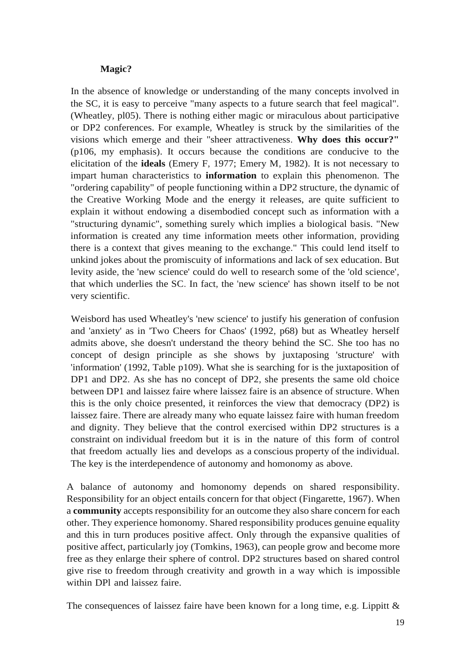### **Magic?**

In the absence of knowledge or understanding of the many concepts involved in the SC, it is easy to perceive "many aspects to a future search that feel magical". (Wheatley, pl05). There is nothing either magic or miraculous about participative or DP2 conferences. For example, Wheatley is struck by the similarities of the visions which emerge and their "sheer attractiveness. **Why does this occur?"**  (p106, my emphasis). It occurs because the conditions are conducive to the elicitation of the **ideals** (Emery F, 1977; Emery M, 1982). It is not necessary to impart human characteristics to **information** to explain this phenomenon. The "ordering capability" of people functioning within a DP2 structure, the dynamic of the Creative Working Mode and the energy it releases, are quite sufficient to explain it without endowing a disembodied concept such as information with a "structuring dynamic", something surely which implies a biological basis. "New information is created any time information meets other information, providing there is a context that gives meaning to the exchange." This could lend itself to unkind jokes about the promiscuity of informations and lack of sex education. But levity aside, the 'new science' could do well to research some of the 'old science', that which underlies the SC. In fact, the 'new science' has shown itself to be not very scientific.

Weisbord has used Wheatley's 'new science' to justify his generation of confusion and 'anxiety' as in 'Two Cheers for Chaos' (1992, p68) but as Wheatley herself admits above, she doesn't understand the theory behind the SC. She too has no concept of design principle as she shows by juxtaposing 'structure' with 'information' (1992, Table p109). What she is searching for is the juxtaposition of DP1 and DP2. As she has no concept of DP2, she presents the same old choice between DP1 and laissez faire where laissez faire is an absence of structure. When this is the only choice presented, it reinforces the view that democracy (DP2) is laissez faire. There are already many who equate laissez faire with human freedom and dignity. They believe that the control exercised within DP2 structures is a constraint on individual freedom but it is in the nature of this form of control that freedom actually lies and develops as a conscious property of the individual. The key is the interdependence of autonomy and homonomy as above.

A balance of autonomy and homonomy depends on shared responsibility. Responsibility for an object entails concern for that object (Fingarette, 1967). When a **community** accepts responsibility for an outcome they also share concern for each other. They experience homonomy. Shared responsibility produces genuine equality and this in turn produces positive affect. Only through the expansive qualities of positive affect, particularly joy (Tomkins, 1963), can people grow and become more free as they enlarge their sphere of control. DP2 structures based on shared control give rise to freedom through creativity and growth in a way which is impossible within DPl and laissez faire.

The consequences of laissez faire have been known for a long time, e.g. Lippitt  $\&$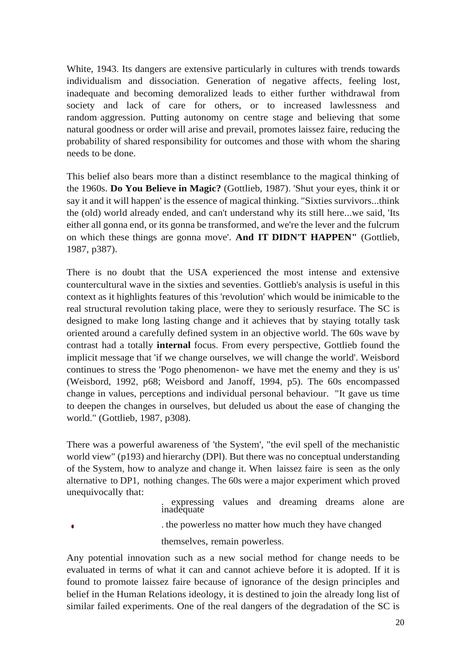White, 1943. Its dangers are extensive particularly in cultures with trends towards individualism and dissociation. Generation of negative affects, feeling lost, inadequate and becoming demoralized leads to either further withdrawal from society and lack of care for others, or to increased lawlessness and random·aggression. Putting autonomy on centre stage and believing that some natural goodness or order will arise and prevail, promotes laissez faire, reducing the probability of shared responsibility for outcomes and those with whom the sharing needs to be done.

This belief also bears more than a distinct resemblance to the magical thinking of the 1960s. **Do You Believe in Magic?** (Gottlieb, 1987). 'Shut your eyes, think it or say it and it will happen' is the essence of magical thinking. "Sixties survivors...think the (old) world already ended, and can't understand why its still here...we said, 'Its either all gonna end, or its gonna be transformed, and we're the lever and the fulcrum on which these things are gonna move'. **And IT DIDN'T HAPPEN"** (Gottlieb, 1987, p387).

There is no doubt that the USA experienced the most intense and extensive countercultural wave in the sixties and seventies. Gottlieb's analysis is useful in this context as it highlights features of this 'revolution' which would be inimicable to the real structural revolution taking place, were they to seriously resurface. The SC is designed to make long lasting change and it achieves that by staying totally task oriented around a carefully defined system in an objective world. The 60s wave by contrast had a totally **internal** focus. From every perspective, Gottlieb found the implicit message that 'if we change ourselves, we will change the world'. Weisbord continues to stress the 'Pogo phenomenon- we have met the enemy and they is us' (Weisbord, 1992, p68; Weisbord and Janoff, 1994, p5). The 60s encompassed change in values, perceptions and individual personal behaviour. "It gave us time to deepen the changes in ourselves, but deluded us about the ease of changing the world." (Gottlieb, 1987, p308).

There was a powerful awareness of 'the System', "the evil spell of the mechanistic world view" (p193) and hierarchy (DPl). But there was no conceptual understanding of the System, how to analyze and change it. When laissez faire is seen as the only alternative to DP1, nothing changes. The 60s were a major experiment which proved unequivocally that:

> . expressing values and dreaming dreams alone are inadequate

•

. the powerless no matter how much they have changed

themselves, remain powerless.

Any potential innovation such as a new social method for change needs to be evaluated in terms of what it can and cannot achieve before it is adopted. If it is found to promote laissez faire because of ignorance of the design principles and belief in the Human Relations ideology, it is destined to join the already long list of similar failed experiments. One of the real dangers of the degradation of the SC is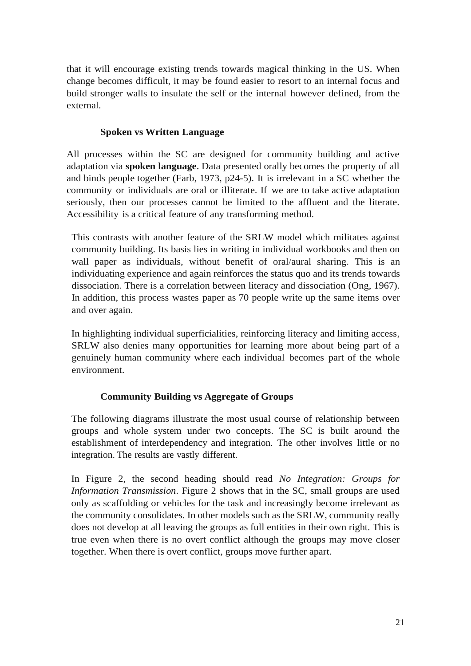that it will encourage existing trends towards magical thinking in the US. When change becomes difficult, it may be found easier to resort to an internal focus and build stronger walls to insulate the self or the internal however defined, from the external.

# **Spoken vs Written Language**

All processes within the SC are designed for community building and active adaptation via **spoken language.** Data presented orally becomes the property of all and binds people together (Farb, 1973, p24-5). It is irrelevant in a SC whether the community or individuals are oral or illiterate. If we are to take active adaptation seriously, then our processes cannot be limited to the affluent and the literate. Accessibility is a critical feature of any transforming method.

This contrasts with another feature of the SRLW model which militates against community building. Its basis lies in writing in individual workbooks and then on wall paper as individuals, without benefit of oral/aural sharing. This is an individuating experience and again reinforces the status quo and its trends towards dissociation. There is a correlation between literacy and dissociation (Ong, 1967). In addition, this process wastes paper as 70 people write up the same items over and over again.

In highlighting individual superficialities, reinforcing literacy and limiting access, SRLW also denies many opportunities for learning more about being part of a genuinely human community where each individual becomes part of the whole environment.

# **Community Building vs Aggregate of Groups**

The following diagrams illustrate the most usual course of relationship between groups and whole system under two concepts. The SC is built around the establishment of interdependency and integration. The other involves little or no integration. The results are vastly different.

In Figure 2, the second heading should read *No Integration: Groups for Information Transmission*. Figure 2 shows that in the SC, small groups are used only as scaffolding or vehicles for the task and increasingly become irrelevant as the community consolidates. In other models such as the SRLW, community really does not develop at all leaving the groups as full entities in their own right. This is true even when there is no overt conflict although the groups may move closer together. When there is overt conflict, groups move further apart.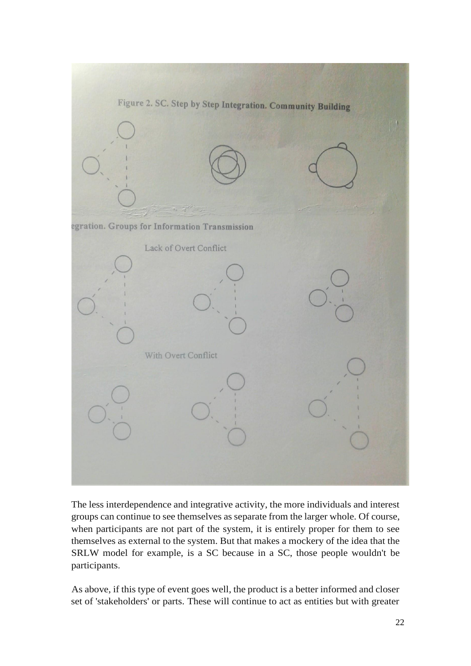

The less interdependence and integrative activity, the more individuals and interest groups can continue to see themselves as separate from the larger whole. Of course, when participants are not part of the system, it is entirely proper for them to see themselves as external to the system. But that makes a mockery of the idea that the SRLW model for example, is a SC because in a SC, those people wouldn't be participants.

As above, if this type of event goes well, the product is a better informed and closer set of 'stakeholders' or parts. These will continue to act as entities but with greater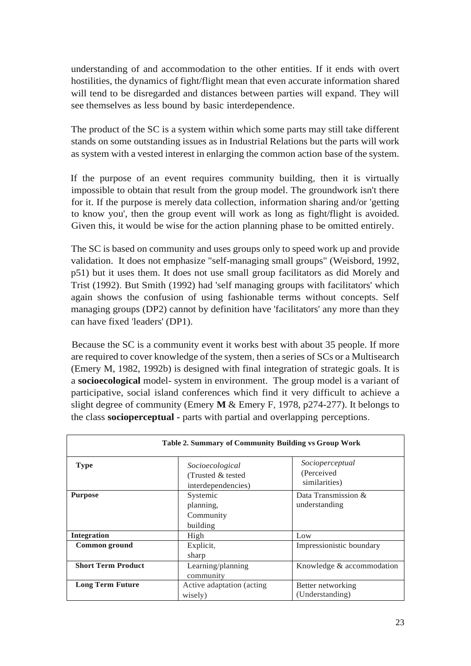understanding of and accommodation to the other entities. If it ends with overt hostilities, the dynamics of fight/flight mean that even accurate information shared will tend to be disregarded and distances between parties will expand. They will see themselves as less bound by basic interdependence.

The product of the SC is a system within which some parts may still take different stands on some outstanding issues as in Industrial Relations but the parts will work as system with a vested interest in enlarging the common action base of the system.

If the purpose of an event requires community building, then it is virtually impossible to obtain that result from the group model. The groundwork isn't there for it. If the purpose is merely data collection, information sharing and/or 'getting to know you', then the group event will work as long as fight/flight is avoided. Given this, it would be wise for the action planning phase to be omitted entirely.

The SC is based on community and uses groups only to speed work up and provide validation. It does not emphasize "self-managing small groups" (Weisbord, 1992, p51) but it uses them. It does not use small group facilitators as did Morely and Trist (1992). But Smith (1992) had 'self managing groups with facilitators' which again shows the confusion of using fashionable terms without concepts. Self managing groups (DP2) cannot by definition have 'facilitators' any more than they can have fixed 'leaders' (DP1).

Because the SC is a community event it works best with about 35 people. If more are required to cover knowledge of the system, then a series of SCs or a Multisearch (Emery M, 1982, 1992b) is designed with final integration of strategic goals. It is a **socioecological** model- system in environment. The group model is a variant of participative, social island conferences which find it very difficult to achieve a slight degree of community (Emery **M** & Emery F, 1978, p274-277). It belongs to the class **socioperceptual -** parts with partial and overlapping perceptions.

| <b>Table 2. Summary of Community Building vs Group Work</b> |                                                             |                                                 |  |
|-------------------------------------------------------------|-------------------------------------------------------------|-------------------------------------------------|--|
| <b>Type</b>                                                 | Socioecological<br>(Trusted & tested)<br>interdependencies) | Socioperceptual<br>(Perceived)<br>similarities) |  |
| <b>Purpose</b>                                              | Systemic<br>planning,<br>Community<br>building              | Data Transmission $\&$<br>understanding         |  |
| <b>Integration</b>                                          | High                                                        | Low                                             |  |
| Common ground                                               | Explicit,<br>sharp                                          | Impressionistic boundary                        |  |
| <b>Short Term Product</b>                                   | Learning/planning<br>community                              | Knowledge & accommodation                       |  |
| <b>Long Term Future</b>                                     | Active adaptation (acting)<br>wisely)                       | Better networking<br>(Understanding)            |  |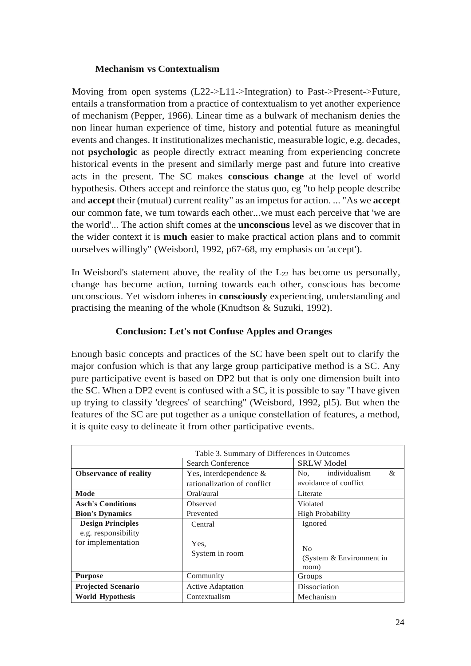### **Mechanism vs Contextualism**

Moving from open systems (L22->L11->Integration) to Past->Present->Future, entails a transformation from a practice of contextualism to yet another experience of mechanism (Pepper, 1966). Linear time as a bulwark of mechanism denies the non linear human experience of time, history and potential future as meaningful events and changes. It institutionalizes mechanistic, measurable logic, e.g. decades, not **psychologic** as people directly extract meaning from experiencing concrete historical events in the present and similarly merge past and future into creative acts in the present. The SC makes **conscious change** at the level of world hypothesis. Others accept and reinforce the status quo, eg "to help people describe and **accept** their (mutual) current reality" as an impetus for action. ... "As we **accept**  our common fate, we tum towards each other...we must each perceive that 'we are the world'... The action shift comes at the **unconscious** level as we discover that in the wider context it is **much** easier to make practical action plans and to commit ourselves willingly" (Weisbord, 1992, p67-68, my emphasis on 'accept').

In Weisbord's statement above, the reality of the  $L_{22}$  has become us personally, change has become action, turning towards each other, conscious has become unconscious. Yet wisdom inheres in **consciously** experiencing, understanding and practising the meaning of the whole (Knudtson & Suzuki, 1992).

### **Conclusion: Let's not Confuse Apples and Oranges**

Enough basic concepts and practices of the SC have been spelt out to clarify the major confusion which is that any large group participative method is a SC. Any pure participative event is based on DP2 but that is only one dimension built into the SC. When a DP2 event is confused with a SC, it is possible to say "I have given up trying to classify 'degrees' of searching" (Weisbord, 1992, pl5). But when the features of the SC are put together as a unique constellation of features, a method, it is quite easy to delineate it from other participative events.

| Table 3. Summary of Differences in Outcomes     |                                                          |                                                     |  |
|-------------------------------------------------|----------------------------------------------------------|-----------------------------------------------------|--|
|                                                 | Search Conference                                        | <b>SRLW</b> Model                                   |  |
| <b>Observance of reality</b>                    | Yes, interdependence $\&$<br>rationalization of conflict | individualism<br>&<br>No,<br>avoidance of conflict  |  |
| Mode                                            | Oral/aural                                               | Literate                                            |  |
| <b>Asch's Conditions</b>                        | Observed                                                 | Violated                                            |  |
| <b>Bion's Dynamics</b>                          | Prevented                                                | <b>High Probability</b>                             |  |
| <b>Design Principles</b><br>e.g. responsibility | Central                                                  | Ignored                                             |  |
| for implementation                              | Yes.<br>System in room                                   | N <sub>0</sub><br>(System & Environment in<br>room) |  |
| <b>Purpose</b>                                  | Community                                                | Groups                                              |  |
| <b>Projected Scenario</b>                       | <b>Active Adaptation</b>                                 | Dissociation                                        |  |
| <b>World Hypothesis</b>                         | Contextualism                                            | Mechanism                                           |  |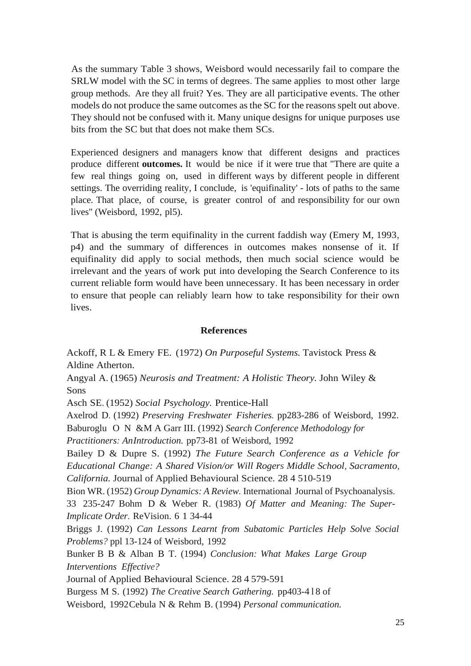As the summary Table 3 shows, Weisbord would necessarily fail to compare the SRLW model with the SC in terms of degrees. The same applies to most other large group methods. Are they all fruit? Yes. They are all participative events. The other models do not produce the same outcomes as the SC for the reasons spelt out above. They should not be confused with it. Many unique designs for unique purposes use bits from the SC but that does not make them SCs.

Experienced designers and managers know that different designs and practices produce different **outcomes.** It would be nice if it were true that "There are quite a few real things going on, used in different ways by different people in different settings. The overriding reality, I conclude, is 'equifinality' - lots of paths to the same place. That place, of course, is greater control of and responsibility for our own lives" (Weisbord, 1992, pl5).

That is abusing the term equifinality in the current faddish way (Emery M, 1993, p4) and the summary of differences in outcomes makes nonsense of it. If equifinality did apply to social methods, then much social science would be irrelevant and the years of work put into developing the Search Conference to its current reliable form would have been unnecessary. It has been necessary in order to ensure that people can reliably learn how to take responsibility for their own lives.

#### **References**

Ackoff, R L & Emery FE. (1972) *On Purposeful Systems.* Tavistock Press & Aldine Atherton.

Angyal A. (1965) *Neurosis and Treatment: A Holistic Theory.* John Wiley & Sons

Asch SE. (1952) *Social Psychology.* Prentice-Hall

Axelrod D. (1992) *Preserving Freshwater Fisheries.* pp283-286 of Weisbord, 1992. Baburoglu O N &M A Garr III. (1992) *Search Conference Methodology for*

*Practitioners: AnIntroduction.* pp73-81 of Weisbord, 1992

Bailey D & Dupre S. (1992) *The Future Search Conference as a Vehicle for Educational Change: A Shared Vision/or Will Rogers Middle School, Sacramento, California.* Journal of Applied Behavioural Science. 28 4 510-519

Bion WR. (1952) *Group Dynamics: A Review.* International Journal of Psychoanalysis.

33 235-247 Bohm D & Weber R. (1983) *Of Matter and Meaning: The Super-Implicate Order.* ReVision. 6 1 34-44

Briggs J. (1992) *Can Lessons Learnt from Subatomic Particles Help Solve Social Problems?* ppl 13-124 of Weisbord, 1992

Bunker B B & Alban B T. (1994) *Conclusion: What Makes Large Group Interventions Effective?*

Journal of Applied Behavioural Science. 28 4 579-591

Burgess M S. (1992) *The Creative Search Gathering.* pp403-4 l 8 of

Weisbord, 1992Cebula N & Rehm B. (1994) *Personal communication.*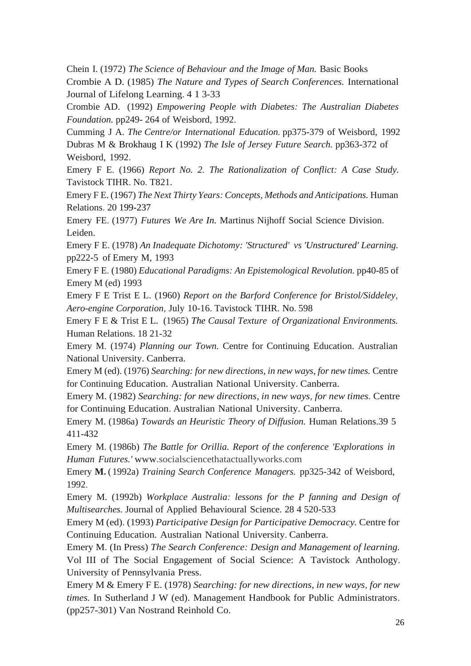Chein I. (1972) *The Science of Behaviour and the Image of Man.* Basic Books

Crombie A D. (1985) *The Nature and Types of Search Conferences.* International Journal of Lifelong Learning. 4 1 3-33

Crombie AD. (1992) *Empowering People with Diabetes: The Australian Diabetes Foundation.* pp249- 264 of Weisbord, 1992.

Cumming J A. *The Centre/or International Education.* pp375-379 of Weisbord, 1992 Dubras M & Brokhaug I K (1992) *The Isle of Jersey Future Search.* pp363-372 of Weisbord, 1992.

Emery F E. (1966) *Report No. 2. The Rationalization of Conflict: A Case Study.*  Tavistock TIHR. No. T821.

Emery F E. (1967) *The Next Thirty Years: Concepts, Methods and Anticipations.* Human Relations. 20 199-237

Emery FE. (1977) *Futures We Are In.* Martinus Nijhoff Social Science Division. Leiden.

Emery F E. (1978) *An Inadequate Dichotomy: 'Structured' vs 'Unstructured' Learning.* pp222-5 of Emery M, 1993

Emery F E. (1980) *Educational Paradigms: An Epistemological Revolution.* pp40-85 of Emery M (ed) 1993

Emery F E Trist E L. (1960) *Report on the Barford Conference for Bristol/Siddeley, Aero-engine Corporation,* July 10-16. Tavistock TIHR. No. 598

Emery F E & Trist E L. (1965) *The Causal Texture of Organizational Environments.* Human Relations. 18 21-32

Emery M. (1974) *Planning our Town.* Centre for Continuing Education. Australian National University. Canberra.

Emery M (ed). (1976) *Searching: for new directions, in new ways, for new times.* Centre for Continuing Education. Australian National University. Canberra.

Emery M. (1982) *Searching: for new directions, in new ways, for new times.* Centre for Continuing Education. Australian National University. Canberra.

Emery M. (1986a) *Towards an Heuristic Theory of Diffusion.* Human Relations.39 5 411-432

Emery M. (1986b) *The Battle for Orillia. Report of the conference 'Explorations in Human Futures.'* www.socialsciencethatactuallyworks.com

Emery **M.** ( 1992a) *Training Search Conference Managers.* pp325-342 of Weisbord, 1992.

Emery M. (1992b) *Workplace Australia: lessons for the P fanning and Design of Multisearches.* Journal of Applied Behavioural Science. 28 4 520-533

Emery M (ed). (1993) *Participative Design for Participative Democracy.* Centre for Continuing Education. Australian National University. Canberra.

Emery M. (In Press) *The Search Conference: Design and Management of learning.*  Vol III of The Social Engagement of Social Science: A Tavistock Anthology. University of Pennsylvania Press.

Emery M & Emery F E. (1978) *Searching: for new directions, in new ways, for new times.* In Sutherland J W (ed). Management Handbook for Public Administrators. (pp257-301) Van Nostrand Reinhold Co.